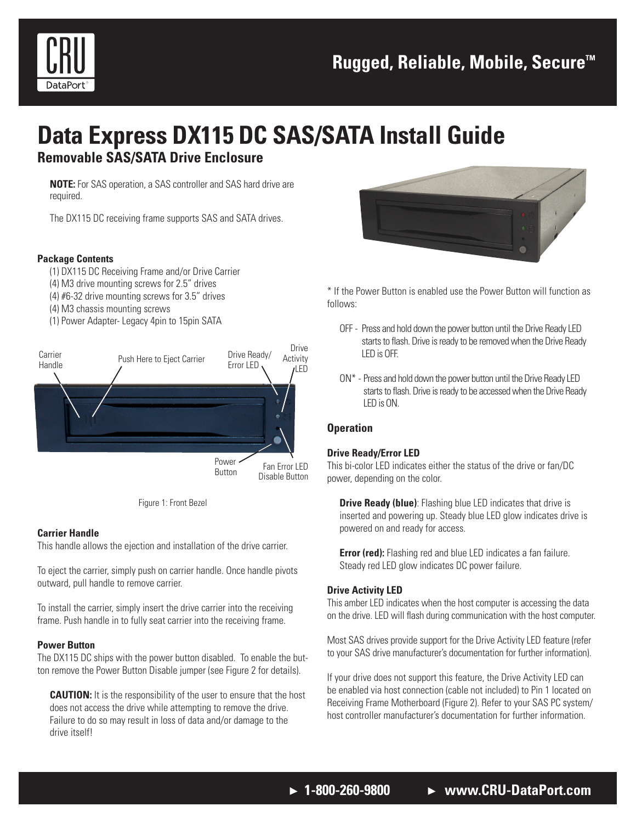

# **Data Express DX115 DC SAS/SATA Install Guide**

### **Removable SAS/SATA Drive Enclosure**

**NOTE:** For SAS operation, a SAS controller and SAS hard drive are required.

The DX115 DC receiving frame supports SAS and SATA drives.

#### **Package Contents**

- (1) DX115 DC Receiving Frame and/or Drive Carrier
- (4) M3 drive mounting screws for 2.5" drives
- (4) #6-32 drive mounting screws for 3.5" drives
- (4) M3 chassis mounting screws
- (1) Power Adapter- Legacy 4pin to 15pin SATA





#### **Carrier Handle**

This handle allows the ejection and installation of the drive carrier.

To eject the carrier, simply push on carrier handle. Once handle pivots outward, pull handle to remove carrier.

To install the carrier, simply insert the drive carrier into the receiving frame. Push handle in to fully seat carrier into the receiving frame.

#### **Power Button**

The DX115 DC ships with the power button disabled. To enable the button remove the Power Button Disable jumper (see Figure 2 for details).

**CAUTION:** It is the responsibility of the user to ensure that the host does not access the drive while attempting to remove the drive. Failure to do so may result in loss of data and/or damage to the drive itself!



\* If the Power Button is enabled use the Power Button will function as follows:

- OFF Press and hold down the power button until the Drive Ready LED starts to flash. Drive is ready to be removed when the Drive Ready LED is OFF.
- ON\* Press and hold down the power button until the Drive Ready LED starts to flash. Drive is ready to be accessed when the Drive Ready LED is ON.

#### **Operation**

#### **Drive Ready/Error LED**

This bi-color LED indicates either the status of the drive or fan/DC power, depending on the color.

**Drive Ready (blue)**: Flashing blue LED indicates that drive is inserted and powering up. Steady blue LED glow indicates drive is powered on and ready for access.

**Error (red):** Flashing red and blue LED indicates a fan failure. Steady red LED glow indicates DC power failure.

#### **Drive Activity LED**

This amber LED indicates when the host computer is accessing the data on the drive. LED will flash during communication with the host computer.

Most SAS drives provide support for the Drive Activity LED feature (refer to your SAS drive manufacturer's documentation for further information).

If your drive does not support this feature, the Drive Activity LED can be enabled via host connection (cable not included) to Pin 1 located on Receiving Frame Motherboard (Figure 2). Refer to your SAS PC system/ host controller manufacturer's documentation for further information.